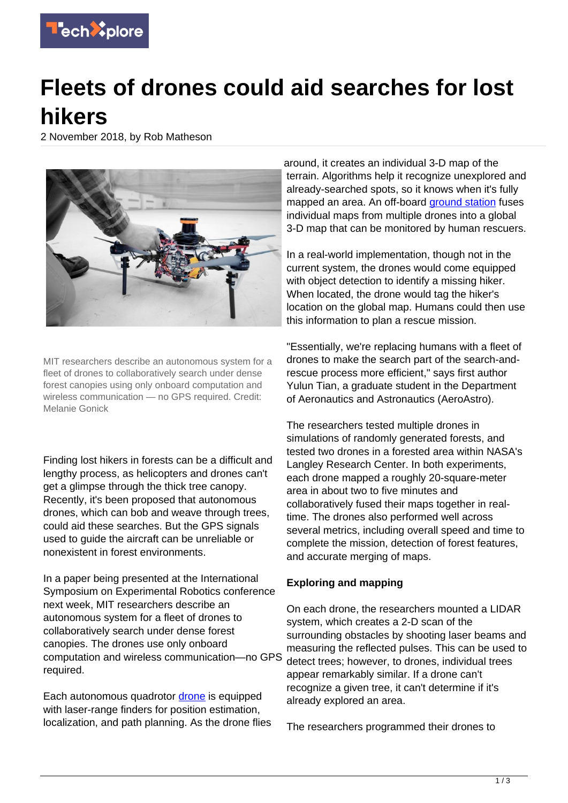

## **Fleets of drones could aid searches for lost hikers**

2 November 2018, by Rob Matheson



MIT researchers describe an autonomous system for a fleet of drones to collaboratively search under dense forest canopies using only onboard computation and wireless communication — no GPS required. Credit: Melanie Gonick

Finding lost hikers in forests can be a difficult and lengthy process, as helicopters and drones can't get a glimpse through the thick tree canopy. Recently, it's been proposed that autonomous drones, which can bob and weave through trees, could aid these searches. But the GPS signals used to guide the aircraft can be unreliable or nonexistent in forest environments.

In a paper being presented at the International Symposium on Experimental Robotics conference next week, MIT researchers describe an autonomous system for a fleet of drones to collaboratively search under dense forest canopies. The drones use only onboard computation and wireless communication—no GPS required.

Each autonomous quadrotor [drone](https://techxplore.com/tags/drone/) is equipped with laser-range finders for position estimation, localization, and path planning. As the drone flies around, it creates an individual 3-D map of the terrain. Algorithms help it recognize unexplored and already-searched spots, so it knows when it's fully mapped an area. An off-board **ground station** fuses individual maps from multiple drones into a global 3-D map that can be monitored by human rescuers.

In a real-world implementation, though not in the current system, the drones would come equipped with object detection to identify a missing hiker. When located, the drone would tag the hiker's location on the global map. Humans could then use this information to plan a rescue mission.

"Essentially, we're replacing humans with a fleet of drones to make the search part of the search-andrescue process more efficient," says first author Yulun Tian, a graduate student in the Department of Aeronautics and Astronautics (AeroAstro).

The researchers tested multiple drones in simulations of randomly generated forests, and tested two drones in a forested area within NASA's Langley Research Center. In both experiments, each drone mapped a roughly 20-square-meter area in about two to five minutes and collaboratively fused their maps together in realtime. The drones also performed well across several metrics, including overall speed and time to complete the mission, detection of forest features, and accurate merging of maps.

## **Exploring and mapping**

On each drone, the researchers mounted a LIDAR system, which creates a 2-D scan of the surrounding obstacles by shooting laser beams and measuring the reflected pulses. This can be used to detect trees; however, to drones, individual trees appear remarkably similar. If a drone can't recognize a given tree, it can't determine if it's already explored an area.

The researchers programmed their drones to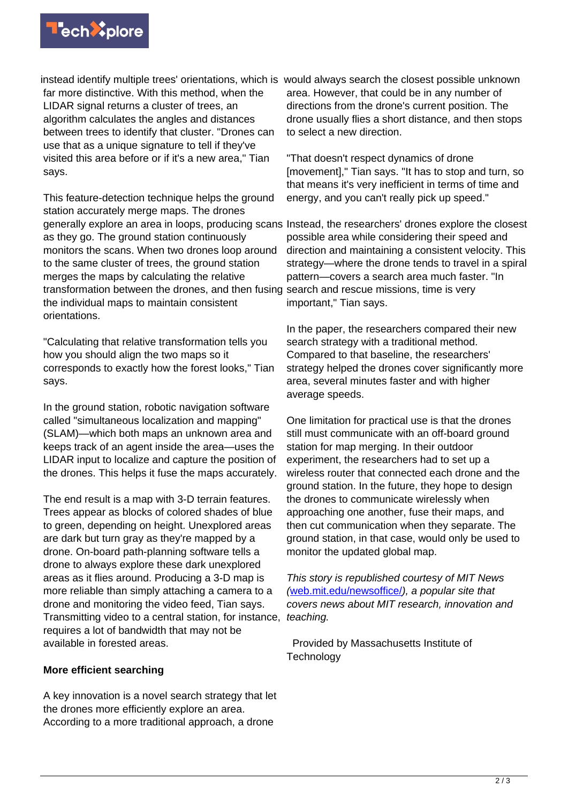

instead identify multiple trees' orientations, which is would always search the closest possible unknown far more distinctive. With this method, when the LIDAR signal returns a cluster of trees, an algorithm calculates the angles and distances between trees to identify that cluster. "Drones can use that as a unique signature to tell if they've visited this area before or if it's a new area," Tian says.

This feature-detection technique helps the ground station accurately merge maps. The drones generally explore an area in loops, producing scans Instead, the researchers' drones explore the closest as they go. The ground station continuously monitors the scans. When two drones loop around to the same cluster of trees, the ground station merges the maps by calculating the relative transformation between the drones, and then fusing the individual maps to maintain consistent orientations.

"Calculating that relative transformation tells you how you should align the two maps so it corresponds to exactly how the forest looks," Tian says.

In the ground station, robotic navigation software called "simultaneous localization and mapping" (SLAM)—which both maps an unknown area and keeps track of an agent inside the area—uses the LIDAR input to localize and capture the position of the drones. This helps it fuse the maps accurately.

The end result is a map with 3-D terrain features. Trees appear as blocks of colored shades of blue to green, depending on height. Unexplored areas are dark but turn gray as they're mapped by a drone. On-board path-planning software tells a drone to always explore these dark unexplored areas as it flies around. Producing a 3-D map is more reliable than simply attaching a camera to a drone and monitoring the video feed, Tian says. Transmitting video to a central station, for instance, requires a lot of bandwidth that may not be available in forested areas.

## **More efficient searching**

A key innovation is a novel search strategy that let the drones more efficiently explore an area. According to a more traditional approach, a drone

area. However, that could be in any number of directions from the drone's current position. The drone usually flies a short distance, and then stops to select a new direction.

"That doesn't respect dynamics of drone [movement]," Tian says. "It has to stop and turn, so that means it's very inefficient in terms of time and energy, and you can't really pick up speed."

possible area while considering their speed and direction and maintaining a consistent velocity. This strategy—where the drone tends to travel in a spiral pattern—covers a search area much faster. "In search and rescue missions, time is very important," Tian says.

In the paper, the researchers compared their new search strategy with a traditional method. Compared to that baseline, the researchers' strategy helped the drones cover significantly more area, several minutes faster and with higher average speeds.

One limitation for practical use is that the drones still must communicate with an off-board ground station for map merging. In their outdoor experiment, the researchers had to set up a wireless router that connected each drone and the ground station. In the future, they hope to design the drones to communicate wirelessly when approaching one another, fuse their maps, and then cut communication when they separate. The ground station, in that case, would only be used to monitor the updated global map.

This story is republished courtesy of MIT News ([web.mit.edu/newsoffice/](http://web.mit.edu/newsoffice/)), a popular site that covers news about MIT research, innovation and teaching.

 Provided by Massachusetts Institute of **Technology**